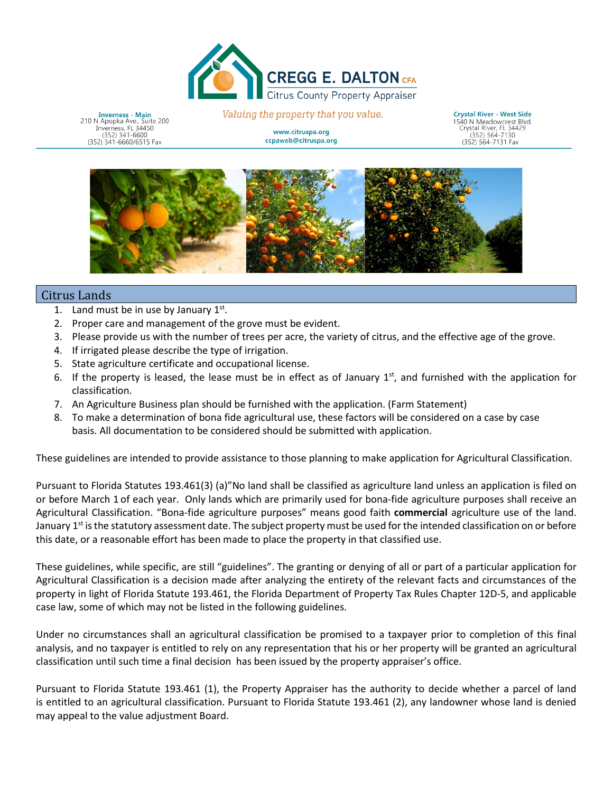

**Inverness - Main** 210 N Apopka Ave., Suite 200<br>Inverness, FL 34450  $(352)$  341-6600 (352) 341-6660/6515 Fax

Valuing the property that you vali

www.citruspa.org ccpaweb@citruspa.org Commitment - Innovation - Respect - Integrity - Service

Crystal River - West Side 1540 N Meadow (352) 564-7131 Fax (352) 564-7131 Fax



## Citrus Lands

- 1. Land must be in use by January  $1^{st}$ .
- 2. Proper care and management of the grove must be evident.
- 3. Please provide us with the number of trees per acre, the variety of citrus, and the effective age of the grove.
- 4. If irrigated please describe the type of irrigation.
- 5. State agriculture certificate and occupational license.
- 6. If the property is leased, the lease must be in effect as of January  $1<sup>st</sup>$ , and furnished with the application for classification.
- 7. An Agriculture Business plan should be furnished with the application. (Farm Statement)
- 8. To make a determination of bona fide agricultural use, these factors will be considered on a case by case basis. All documentation to be considered should be submitted with application.

These guidelines are intended to provide assistance to those planning to make application for Agricultural Classification.

 or before March 1 of each year. Only lands which are primarily used for bona-fide agriculture purposes shall receive an January 1<sup>st</sup> is the statutory assessment date. The subject property must be used for the intended classification on or before Pursuant to Florida Statutes 193.461(3) (a)"No land shall be classified as agriculture land unless an application is filed on Agricultural Classification. "Bona-fide agriculture purposes" means good faith **commercial** agriculture use of the land. this date, or a reasonable effort has been made to place the property in that classified use.

 Agricultural Classification is a decision made after analyzing the entirety of the relevant facts and circumstances of the case law, some of which may not be listed in the following guidelines. These guidelines, while specific, are still "guidelines". The granting or denying of all or part of a particular application for property in light of Florida Statute 193.461, the Florida Department of Property Tax Rules Chapter 12D-5, and applicable

 analysis, and no taxpayer is entitled to rely on any representation that his or her property will be granted an agricultural classification until such time a final decision has been issued by the property appraiser's office. Under no circumstances shall an agricultural classification be promised to a taxpayer prior to completion of this final

Pursuant to Florida Statute 193.461 (1), the Property Appraiser has the authority to decide whether a parcel of land is entitled to an agricultural classification. Pursuant to Florida Statute 193.461 (2), any landowner whose land is denied may appeal to the value adjustment Board.